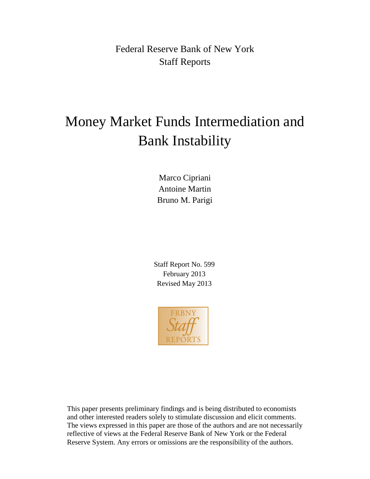Federal Reserve Bank of New York Staff Reports

# Money Market Funds Intermediation and Bank Instability

Marco Cipriani Antoine Martin Bruno M. Parigi

Staff Report No. 599 February 2013 Revised May 2013



This paper presents preliminary findings and is being distributed to economists and other interested readers solely to stimulate discussion and elicit comments. The views expressed in this paper are those of the authors and are not necessarily reflective of views at the Federal Reserve Bank of New York or the Federal Reserve System. Any errors or omissions are the responsibility of the authors.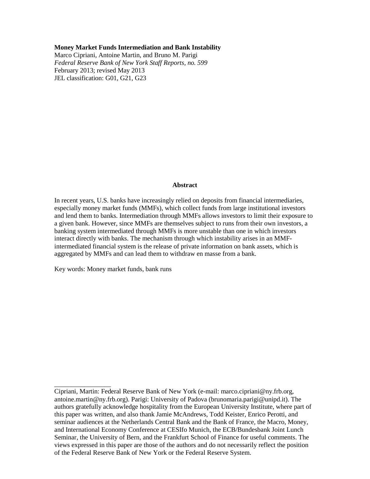#### **Money Market Funds Intermediation and Bank Instability**

Marco Cipriani, Antoine Martin, and Bruno M. Parigi *Federal Reserve Bank of New York Staff Reports, no. 599* February 2013; revised May 2013 JEL classification: G01, G21, G23

#### **Abstract**

In recent years, U.S. banks have increasingly relied on deposits from financial intermediaries, especially money market funds (MMFs), which collect funds from large institutional investors and lend them to banks. Intermediation through MMFs allows investors to limit their exposure to a given bank. However, since MMFs are themselves subject to runs from their own investors, a banking system intermediated through MMFs is more unstable than one in which investors interact directly with banks. The mechanism through which instability arises in an MMFintermediated financial system is the release of private information on bank assets, which is aggregated by MMFs and can lead them to withdraw en masse from a bank.

Key words: Money market funds, bank runs

 $\overline{\phantom{a}}$  , where  $\overline{\phantom{a}}$ 

Cipriani, Martin: Federal Reserve Bank of New York (e-mail: marco.cipriani@ny.frb.org, antoine.martin@ny.frb.org). Parigi: University of Padova (brunomaria.parigi@unipd.it). The authors gratefully acknowledge hospitality from the European University Institute, where part of this paper was written, and also thank Jamie McAndrews, Todd Keister, Enrico Perotti, and seminar audiences at the Netherlands Central Bank and the Bank of France, the Macro, Money, and International Economy Conference at CESIfo Munich, the ECB/Bundesbank Joint Lunch Seminar, the University of Bern, and the Frankfurt School of Finance for useful comments. The views expressed in this paper are those of the authors and do not necessarily reflect the position of the Federal Reserve Bank of New York or the Federal Reserve System.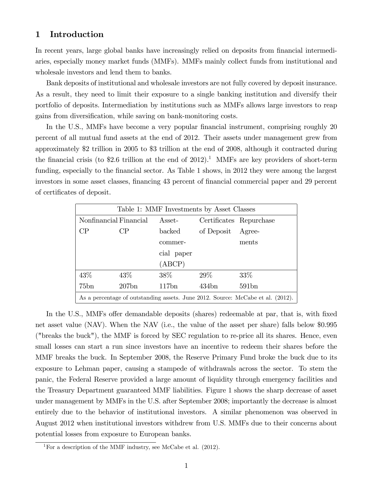# 1 Introduction

In recent years, large global banks have increasingly relied on deposits from financial intermediaries, especially money market funds (MMFs). MMFs mainly collect funds from institutional and wholesale investors and lend them to banks.

Bank deposits of institutional and wholesale investors are not fully covered by deposit insurance. As a result, they need to limit their exposure to a single banking institution and diversify their portfolio of deposits. Intermediation by institutions such as MMFs allows large investors to reap gains from diversification, while saving on bank-monitoring costs.

In the U.S., MMFs have become a very popular financial instrument, comprising roughly 20 percent of all mutual fund assets at the end of 2012. Their assets under management grew from approximately \$2 trillion in 2005 to \$3 trillion at the end of 2008, although it contracted during the financial crisis (to  $$2.6$  trillion at the end of  $2012$ ).<sup>1</sup> MMFs are key providers of short-term funding, especially to the financial sector. As Table 1 shows, in 2012 they were among the largest investors in some asset classes, financing 43 percent of financial commercial paper and 29 percent of certificates of deposit.

| Table 1: MMF Investments by Asset Classes                                       |        |                         |                   |                         |
|---------------------------------------------------------------------------------|--------|-------------------------|-------------------|-------------------------|
| Nonfinancial Financial                                                          |        | $\operatorname{Asset-}$ |                   | Certificates Repurchase |
| CP                                                                              | CP     | backed                  | of Deposit Agree- |                         |
|                                                                                 |        | commer-                 |                   | ments                   |
|                                                                                 |        | cial paper              |                   |                         |
|                                                                                 |        | (ABCP)                  |                   |                         |
| 43%                                                                             | $43\%$ | $38\%$                  | $29\%$            | $33\%$                  |
| 75bn                                                                            | 207bn  | 117bn                   | 434bn             | 591bn                   |
| As a percentage of outstanding assets. June 2012. Source: McCabe et al. (2012). |        |                         |                   |                         |

In the U.S., MMFs offer demandable deposits (shares) redeemable at par, that is, with fixed net asset value (NAV). When the NAV (i.e., the value of the asset per share) falls below \$0.995 ("breaks the buck"), the MMF is forced by SEC regulation to re-price all its shares. Hence, even small losses can start a run since investors have an incentive to redeem their shares before the MMF breaks the buck. In September 2008, the Reserve Primary Fund broke the buck due to its exposure to Lehman paper, causing a stampede of withdrawals across the sector. To stem the panic, the Federal Reserve provided a large amount of liquidity through emergency facilities and the Treasury Department guaranteed MMF liabilities. Figure 1 shows the sharp decrease of asset under management by MMFs in the U.S. after September 2008; importantly the decrease is almost entirely due to the behavior of institutional investors. A similar phenomenon was observed in August 2012 when institutional investors withdrew from U.S. MMFs due to their concerns about potential losses from exposure to European banks.

<sup>&</sup>lt;sup>1</sup>For a description of the MMF industry, see McCabe et al.  $(2012)$ .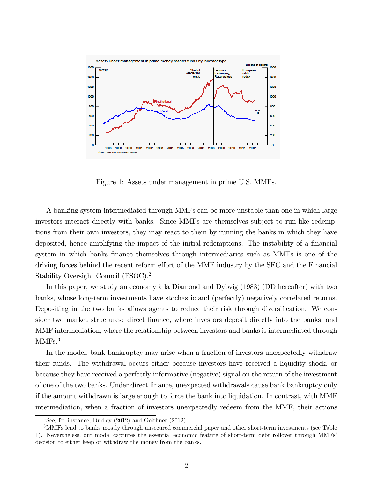

Figure 1: Assets under management in prime U.S. MMFs.

A banking system intermediated through MMFs can be more unstable than one in which large investors interact directly with banks. Since MMFs are themselves subject to run-like redemptions from their own investors, they may react to them by running the banks in which they have deposited, hence amplifying the impact of the initial redemptions. The instability of a financial system in which banks finance themselves through intermediaries such as MMFs is one of the driving forces behind the recent reform effort of the MMF industry by the SEC and the Financial Stability Oversight Council (FSOC).<sup>2</sup>

In this paper, we study an economy  $\hat{a}$  la Diamond and Dybvig (1983) (DD hereafter) with two banks, whose long-term investments have stochastic and (perfectly) negatively correlated returns. Depositing in the two banks allows agents to reduce their risk through diversification. We consider two market structures: direct finance, where investors deposit directly into the banks, and MMF intermediation, where the relationship between investors and banks is intermediated through MMF<sub>s.<sup>3</sup></sub>

In the model, bank bankruptcy may arise when a fraction of investors unexpectedly withdraw their funds. The withdrawal occurs either because investors have received a liquidity shock, or because they have received a perfectly informative (negative) signal on the return of the investment of one of the two banks. Under direct Önance, unexpected withdrawals cause bank bankruptcy only if the amount withdrawn is large enough to force the bank into liquidation. In contrast, with MMF intermediation, when a fraction of investors unexpectedly redeem from the MMF, their actions

<sup>&</sup>lt;sup>2</sup>See, for instance, Dudley  $(2012)$  and Geithner  $(2012)$ .

<sup>3</sup>MMFs lend to banks mostly through unsecured commercial paper and other short-term investments (see Table 1). Nevertheless, our model captures the essential economic feature of short-term debt rollover through MMFsí decision to either keep or withdraw the money from the banks.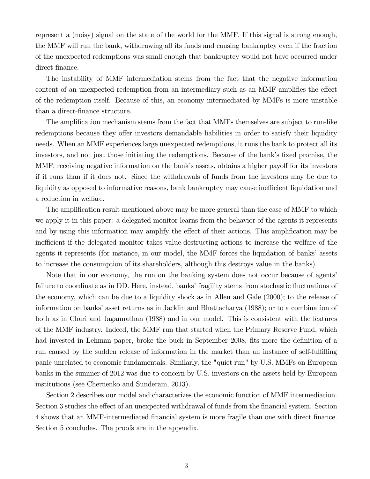represent a (noisy) signal on the state of the world for the MMF. If this signal is strong enough, the MMF will run the bank, withdrawing all its funds and causing bankruptcy even if the fraction of the unexpected redemptions was small enough that bankruptcy would not have occurred under direct finance.

The instability of MMF intermediation stems from the fact that the negative information content of an unexpected redemption from an intermediary such as an MMF amplifies the effect of the redemption itself. Because of this, an economy intermediated by MMFs is more unstable than a direct-finance structure.

The amplification mechanism stems from the fact that MMFs themselves are subject to run-like redemptions because they offer investors demandable liabilities in order to satisfy their liquidity needs. When an MMF experiences large unexpected redemptions, it runs the bank to protect all its investors, and not just those initiating the redemptions. Because of the bank's fixed promise, the MMF, receiving negative information on the bank's assets, obtains a higher payoff for its investors if it runs than if it does not. Since the withdrawals of funds from the investors may be due to liquidity as opposed to informative reasons, bank bankruptcy may cause inefficient liquidation and a reduction in welfare.

The amplification result mentioned above may be more general than the case of MMF to which we apply it in this paper: a delegated monitor learns from the behavior of the agents it represents and by using this information may amplify the effect of their actions. This amplification may be inefficient if the delegated monitor takes value-destructing actions to increase the welfare of the agents it represents (for instance, in our model, the MMF forces the liquidation of banks' assets to increase the consumption of its shareholders, although this destroys value in the banks).

Note that in our economy, the run on the banking system does not occur because of agents' failure to coordinate as in DD. Here, instead, banks' fragility stems from stochastic fluctuations of the economy, which can be due to a liquidity shock as in Allen and Gale (2000); to the release of information on banks' asset returns as in Jacklin and Bhattacharya (1988); or to a combination of both as in Chari and Jagannathan (1988) and in our model. This is consistent with the features of the MMF industry. Indeed, the MMF run that started when the Primary Reserve Fund, which had invested in Lehman paper, broke the buck in September 2008, fits more the definition of a run caused by the sudden release of information in the market than an instance of self-fulfilling panic unrelated to economic fundamentals. Similarly, the "quiet run" by U.S. MMFs on European banks in the summer of 2012 was due to concern by U.S. investors on the assets held by European institutions (see Chernenko and Sunderam, 2013).

Section 2 describes our model and characterizes the economic function of MMF intermediation. Section 3 studies the effect of an unexpected withdrawal of funds from the financial system. Section 4 shows that an MMF-intermediated Önancial system is more fragile than one with direct Önance. Section 5 concludes. The proofs are in the appendix.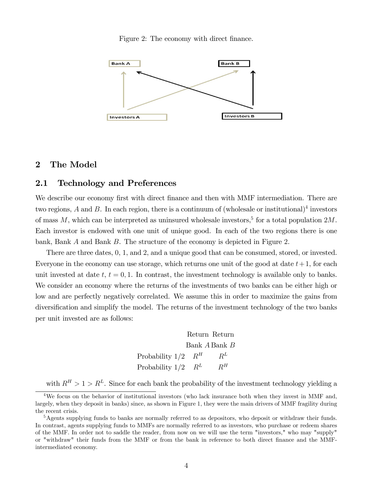Figure 2: The economy with direct finance.



#### 2 The Model

## 2.1 Technology and Preferences

We describe our economy first with direct finance and then with MMF intermediation. There are two regions, A and B. In each region, there is a continuum of (wholesale or institutional)<sup>4</sup> investors of mass  $M$ , which can be interpreted as uninsured wholesale investors,<sup>5</sup> for a total population  $2M$ . Each investor is endowed with one unit of unique good. In each of the two regions there is one bank, Bank A and Bank B. The structure of the economy is depicted in Figure 2.

There are three dates, 0, 1, and 2, and a unique good that can be consumed, stored, or invested. Everyone in the economy can use storage, which returns one unit of the good at date  $t+1$ , for each unit invested at date t,  $t = 0, 1$ . In contrast, the investment technology is available only to banks. We consider an economy where the returns of the investments of two banks can be either high or low and are perfectly negatively correlated. We assume this in order to maximize the gains from diversification and simplify the model. The returns of the investment technology of the two banks per unit invested are as follows:

> Return Return Bank A Bank B Probability  $1/2$   $R^H$   $R^L$ Probability  $1/2$   $R^L$   $R^H$

with  $R^H > 1 > R^L$ . Since for each bank the probability of the investment technology yielding a

<sup>&</sup>lt;sup>4</sup>We focus on the behavior of institutional investors (who lack insurance both when they invest in MMF and, largely, when they deposit in banks) since, as shown in Figure 1, they were the main drivers of MMF fragility during the recent crisis.

<sup>5</sup>Agents supplying funds to banks are normally referred to as depositors, who deposit or withdraw their funds. In contrast, agents supplying funds to MMFs are normally referred to as investors, who purchase or redeem shares of the MMF. In order not to saddle the reader, from now on we will use the term "investors," who may "supply" or "withdraw" their funds from the MMF or from the bank in reference to both direct Önance and the MMFintermediated economy.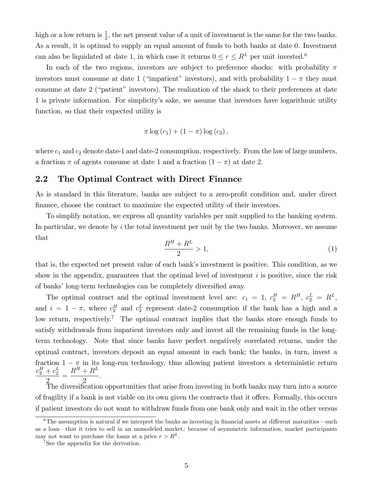high or a low return is  $\frac{1}{2}$ , the net present value of a unit of investment is the same for the two banks. As a result, it is optimal to supply an equal amount of funds to both banks at date 0. Investment can also be liquidated at date 1, in which case it returns  $0 \le r \le R^L$  per unit invested.<sup>6</sup>

In each of the two regions, investors are subject to preference shocks: with probability  $\pi$ investors must consume at date 1 ("impatient" investors), and with probability  $1 - \pi$  they must consume at date 2 ("patient" investors). The realization of the shock to their preferences at date 1 is private information. For simplicityís sake, we assume that investors have logarithmic utility function, so that their expected utility is

$$
\pi \log (c_1) + (1 - \pi) \log (c_2),
$$

where  $c_1$  and  $c_2$  denote date-1 and date-2 consumption, respectively. From the law of large numbers, a fraction  $\pi$  of agents consume at date 1 and a fraction  $(1 - \pi)$  at date 2.

## 2.2 The Optimal Contract with Direct Finance

As is standard in this literature, banks are subject to a zero-profit condition and, under direct finance, choose the contract to maximize the expected utility of their investors.

To simplify notation, we express all quantity variables per unit supplied to the banking system. In particular, we denote by  $i$  the total investment per unit by the two banks. Moreover, we assume that

$$
\frac{R^H + R^L}{2} > 1,\tag{1}
$$

that is, the expected net present value of each bank's investment is positive. This condition, as we show in the appendix, guarantees that the optimal level of investment  $i$  is positive, since the risk of banks' long-term technologies can be completely diversified away.

The optimal contract and the optimal investment level are:  $c_1 = 1, c_2^H = R^H, c_2^L = R^L$ , and  $i = 1 - \pi$ , where  $c_2^H$  and  $c_2^L$  represent date-2 consumption if the bank has a high and a low return, respectively.<sup>7</sup> The optimal contract implies that the banks store enough funds to satisfy withdrawals from impatient investors only and invest all the remaining funds in the longterm technology. Note that since banks have perfect negatively correlated returns, under the optimal contract, investors deposit an equal amount in each bank; the banks, in turn, invest a fraction  $1 - \pi$  in its long-run technology, thus allowing patient investors a deterministic return  $c_2^H + c_2^L$ =  $R^H + R^L$ :

2 2 The diversification opportunities that arise from investing in both banks may turn into a source of fragility if a bank is not viable on its own given the contracts that it offers. Formally, this occurs if patient investors do not want to withdraw funds from one bank only and wait in the other versus

 $6$ The assumption is natural if we interpret the banks as investing in financial assets at different maturities—such as a loan—that it tries to sell in an unmodeled market; because of asymmetric information, market participants may not want to purchase the loans at a price  $r > R^L$ .

<sup>&</sup>lt;sup>7</sup>See the appendix for the derivation.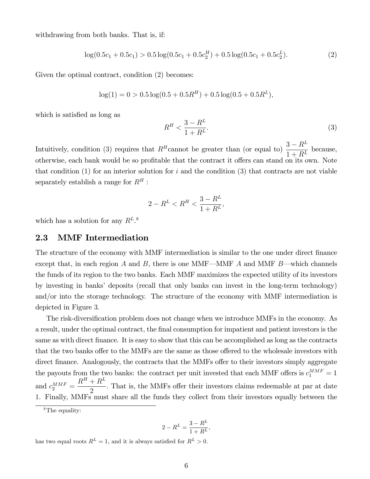withdrawing from both banks. That is, if:

$$
\log(0.5c_1 + 0.5c_1) > 0.5\log(0.5c_1 + 0.5c_2^H) + 0.5\log(0.5c_1 + 0.5c_2^L). \tag{2}
$$

Given the optimal contract, condition  $(2)$  becomes:

$$
\log(1) = 0 > 0.5 \log(0.5 + 0.5R^H) + 0.5 \log(0.5 + 0.5R^L),
$$

which is satisfied as long as

$$
R^H < \frac{3 - R^L}{1 + R^L}.\tag{3}
$$

Intuitively, condition (3) requires that  $R^H$ cannot be greater than (or equal to)  $\frac{3-R^L}{1+RL}$  $\frac{1}{1+R^L}$  because, otherwise, each bank would be so profitable that the contract it offers can stand on its own. Note that condition  $(1)$  for an interior solution for i and the condition  $(3)$  that contracts are not viable separately establish a range for  $R^H$ :

$$
2 - R^L < R^H < \frac{3 - R^L}{1 + R^L},
$$

which has a solution for any  $R^{L,8}$ 

### 2.3 MMF Intermediation

The structure of the economy with MMF intermediation is similar to the one under direct finance except that, in each region A and B, there is one MMF—MMF A and MMF B—which channels the funds of its region to the two banks. Each MMF maximizes the expected utility of its investors by investing in banks' deposits (recall that only banks can invest in the long-term technology) and/or into the storage technology. The structure of the economy with MMF intermediation is depicted in Figure 3:

The risk-diversification problem does not change when we introduce MMFs in the economy. As a result, under the optimal contract, the Önal consumption for impatient and patient investors is the same as with direct finance. It is easy to show that this can be accomplished as long as the contracts that the two banks offer to the MMFs are the same as those offered to the wholesale investors with direct finance. Analogously, the contracts that the MMFs offer to their investors simply aggregate the payouts from the two banks: the contract per unit invested that each MMF offers is  $c_1^{MMF} = 1$ and  $c_2^{MMF} =$  $R^H + R^L$ 2 . That is, the MMFs offer their investors claims redeemable at par at date 1. Finally, MMFs must share all the funds they collect from their investors equally between the

$$
2 - R^L = \frac{3 - R^L}{1 + R^L},
$$

has two equal roots  $R^L = 1$ , and it is always satisfied for  $R^L > 0$ .

 ${}^{8}$ The equality: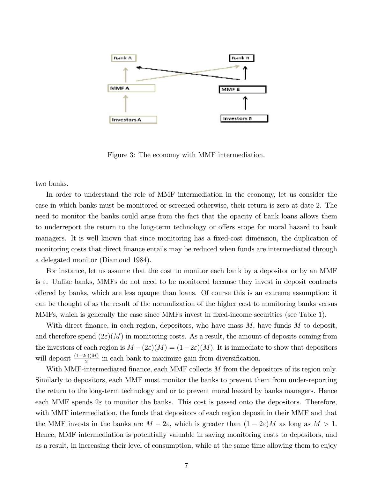

Figure 3: The economy with MMF intermediation.

two banks.

In order to understand the role of MMF intermediation in the economy, let us consider the case in which banks must be monitored or screened otherwise, their return is zero at date 2. The need to monitor the banks could arise from the fact that the opacity of bank loans allows them to underreport the return to the long-term technology or offers scope for moral hazard to bank managers. It is well known that since monitoring has a fixed-cost dimension, the duplication of monitoring costs that direct finance entails may be reduced when funds are intermediated through a delegated monitor (Diamond 1984).

For instance, let us assume that the cost to monitor each bank by a depositor or by an MMF is  $\varepsilon$ . Unlike banks, MMFs do not need to be monitored because they invest in deposit contracts o§ered by banks, which are less opaque than loans. Of course this is an extreme assumption: it can be thought of as the result of the normalization of the higher cost to monitoring banks versus MMFs, which is generally the case since MMFs invest in fixed-income securities (see Table 1).

With direct finance, in each region, depositors, who have mass  $M$ , have funds  $M$  to deposit, and therefore spend  $(2\varepsilon)(M)$  in monitoring costs. As a result, the amount of deposits coming from the investors of each region is  $M - (2\varepsilon)(M) = (1-2\varepsilon)(M)$ . It is immediate to show that depositors will deposit  $\frac{(1-2\varepsilon)(M)}{2}$  in each bank to maximize gain from diversification.

With MMF-intermediated finance, each MMF collects  $M$  from the depositors of its region only. Similarly to depositors, each MMF must monitor the banks to prevent them from under-reporting the return to the long-term technology and or to prevent moral hazard by banks managers. Hence each MMF spends  $2\varepsilon$  to monitor the banks. This cost is passed onto the depositors. Therefore, with MMF intermediation, the funds that depositors of each region deposit in their MMF and that the MMF invests in the banks are  $M - 2\varepsilon$ , which is greater than  $(1 - 2\varepsilon)M$  as long as  $M > 1$ . Hence, MMF intermediation is potentially valuable in saving monitoring costs to depositors, and as a result, in increasing their level of consumption, while at the same time allowing them to enjoy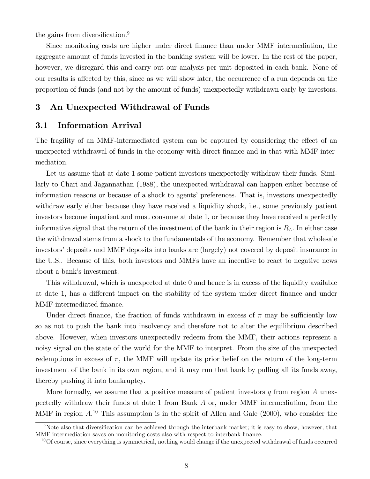the gains from diversification.<sup>9</sup>

Since monitoring costs are higher under direct finance than under MMF intermediation, the aggregate amount of funds invested in the banking system will be lower. In the rest of the paper, however, we disregard this and carry out our analysis per unit deposited in each bank. None of our results is affected by this, since as we will show later, the occurrence of a run depends on the proportion of funds (and not by the amount of funds) unexpectedly withdrawn early by investors.

## 3 An Unexpected Withdrawal of Funds

## 3.1 Information Arrival

The fragility of an MMF-intermediated system can be captured by considering the effect of an unexpected withdrawal of funds in the economy with direct Önance and in that with MMF intermediation.

Let us assume that at date 1 some patient investors unexpectedly withdraw their funds. Similarly to Chari and Jagannathan (1988), the unexpected withdrawal can happen either because of information reasons or because of a shock to agents' preferences. That is, investors unexpectedly withdraw early either because they have received a liquidity shock, i.e., some previously patient investors become impatient and must consume at date 1, or because they have received a perfectly informative signal that the return of the investment of the bank in their region is  $R<sub>L</sub>$ . In either case the withdrawal stems from a shock to the fundamentals of the economy. Remember that wholesale investors' deposits and MMF deposits into banks are (largely) not covered by deposit insurance in the U.S.. Because of this, both investors and MMFs have an incentive to react to negative news about a bank's investment.

This withdrawal, which is unexpected at date 0 and hence is in excess of the liquidity available at date 1, has a different impact on the stability of the system under direct finance and under MMF-intermediated finance.

Under direct finance, the fraction of funds withdrawn in excess of  $\pi$  may be sufficiently low so as not to push the bank into insolvency and therefore not to alter the equilibrium described above. However, when investors unexpectedly redeem from the MMF, their actions represent a noisy signal on the state of the world for the MMF to interpret. From the size of the unexpected redemptions in excess of  $\pi$ , the MMF will update its prior belief on the return of the long-term investment of the bank in its own region, and it may run that bank by pulling all its funds away, thereby pushing it into bankruptcy.

More formally, we assume that a positive measure of patient investors  $q$  from region  $A$  unexpectedly withdraw their funds at date 1 from Bank A or, under MMF intermediation, from the MMF in region  $A^{10}$ . This assumption is in the spirit of Allen and Gale (2000), who consider the

<sup>&</sup>lt;sup>9</sup>Note also that diversification can be achieved through the interbank market; it is easy to show, however, that MMF intermediation saves on monitoring costs also with respect to interbank finance.

 $10$ Of course, since everything is symmetrical, nothing would change if the unexpected withdrawal of funds occurred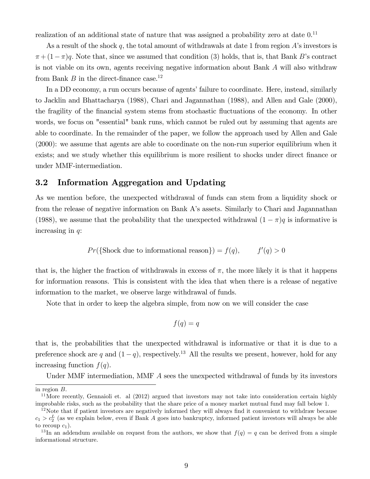realization of an additional state of nature that was assigned a probability zero at date  $0$ .<sup>11</sup>

As a result of the shock q, the total amount of withdrawals at date 1 from region  $A$ 's investors is  $\pi + (1-\pi)q$ . Note that, since we assumed that condition (3) holds, that is, that Bank B's contract is not viable on its own, agents receiving negative information about Bank A will also withdraw from Bank  $B$  in the direct-finance case.<sup>12</sup>

In a DD economy, a run occurs because of agents' failure to coordinate. Here, instead, similarly to Jacklin and Bhattacharya (1988), Chari and Jagannathan (1988), and Allen and Gale (2000), the fragility of the financial system stems from stochastic fluctuations of the economy. In other words, we focus on "essential" bank runs, which cannot be ruled out by assuming that agents are able to coordinate. In the remainder of the paper, we follow the approach used by Allen and Gale (2000): we assume that agents are able to coordinate on the non-run superior equilibrium when it exists; and we study whether this equilibrium is more resilient to shocks under direct finance or under MMF-intermediation.

## 3.2 Information Aggregation and Updating

As we mention before, the unexpected withdrawal of funds can stem from a liquidity shock or from the release of negative information on Bank Aís assets. Similarly to Chari and Jagannathan (1988), we assume that the probability that the unexpected withdrawal  $(1 - \pi)q$  is informative is increasing in q:

$$
Pr({
$$
Shock due to informational reason} $) = f(q),$   $f'(q) > 0$ 

that is, the higher the fraction of withdrawals in excess of  $\pi$ , the more likely it is that it happens for information reasons. This is consistent with the idea that when there is a release of negative information to the market, we observe large withdrawal of funds.

Note that in order to keep the algebra simple, from now on we will consider the case

$$
f(q) = q
$$

that is, the probabilities that the unexpected withdrawal is informative or that it is due to a preference shock are q and  $(1 - q)$ , respectively.<sup>13</sup> All the results we present, however, hold for any increasing function  $f(q)$ .

Under MMF intermediation, MMF A sees the unexpected withdrawal of funds by its investors

in region B:

<sup>&</sup>lt;sup>11</sup>More recently, Gennaioli et. al  $(2012)$  argued that investors may not take into consideration certain highly improbable risks, such as the probability that the share price of a money market mutual fund may fall below 1.

 $12$ Note that if patient investors are negatively informed they will always find it convenient to withdraw because  $c_1 > c_2^L$  (as we explain below, even if Bank A goes into bankruptcy, informed patient investors will always be able to recoup  $c_1$ ).

<sup>&</sup>lt;sup>13</sup>In an addendum available on request from the authors, we show that  $f(q) = q$  can be derived from a simple informational structure.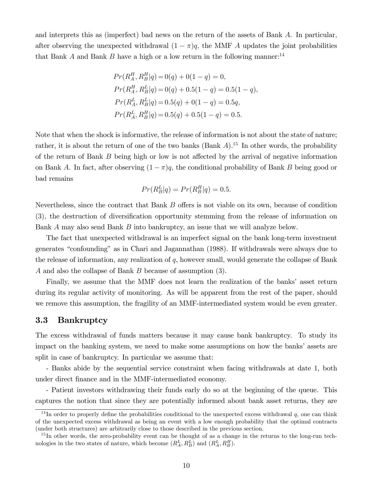and interprets this as (imperfect) bad news on the return of the assets of Bank A. In particular, after observing the unexpected withdrawal  $(1 - \pi)q$ , the MMF A updates the joint probabilities that Bank A and Bank B have a high or a low return in the following manner:<sup>14</sup>

$$
Pr(R_A^H, R_B^H | q) = 0(q) + 0(1 - q) = 0,
$$
  
\n
$$
Pr(R_A^H, R_B^L | q) = 0(q) + 0.5(1 - q) = 0.5(1 - q),
$$
  
\n
$$
Pr(R_A^L, R_B^L | q) = 0.5(q) + 0(1 - q) = 0.5q,
$$
  
\n
$$
Pr(R_A^L, R_B^H | q) = 0.5(q) + 0.5(1 - q) = 0.5.
$$

Note that when the shock is informative, the release of information is not about the state of nature; rather, it is about the return of one of the two banks (Bank  $A$ ).<sup>15</sup> In other words, the probability of the return of Bank  $B$  being high or low is not affected by the arrival of negative information on Bank A. In fact, after observing  $(1 - \pi)q$ , the conditional probability of Bank B being good or bad remains

$$
Pr(R_B^L|q) = Pr(R_B^H|q) = 0.5.
$$

Nevertheless, since the contract that Bank  $B$  offers is not viable on its own, because of condition (3), the destruction of diversification opportunity stemming from the release of information on Bank A may also send Bank B into bankruptcy, an issue that we will analyze below.

The fact that unexpected withdrawal is an imperfect signal on the bank long-term investment generates "confounding" as in Chari and Jagannathan (1988). If withdrawals were always due to the release of information, any realization of  $q$ , however small, would generate the collapse of Bank A and also the collapse of Bank B because of assumption (3).

Finally, we assume that the MMF does not learn the realization of the banks' asset return during its regular activity of monitoring. As will be apparent from the rest of the paper, should we remove this assumption, the fragility of an MMF-intermediated system would be even greater.

## 3.3 Bankruptcy

The excess withdrawal of funds matters because it may cause bank bankruptcy. To study its impact on the banking system, we need to make some assumptions on how the banks' assets are split in case of bankruptcy. In particular we assume that:

- Banks abide by the sequential service constraint when facing withdrawals at date 1, both under direct finance and in the MMF-intermediated economy.

- Patient investors withdrawing their funds early do so at the beginning of the queue. This captures the notion that since they are potentially informed about bank asset returns, they are

<sup>&</sup>lt;sup>14</sup>In order to properly define the probabilities conditional to the unexpected excess withdrawal q, one can think of the unexpected excess withdrawal as being an event with a low enough probability that the optimal contracts (under both structures) are arbitrarily close to those described in the previous section.

 $15$  In other words, the zero-probability event can be thought of as a change in the returns to the long-run technologies in the two states of nature, which become  $(R_A^L, R_B^L)$  and  $(R_A^L, R_B^H)$ .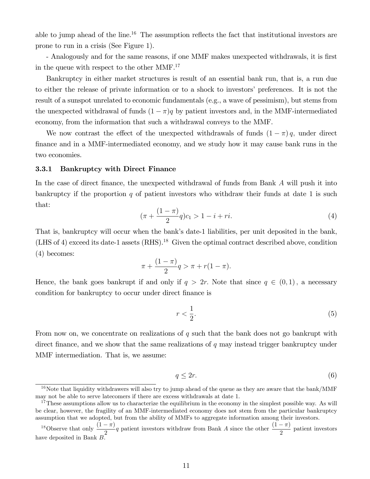able to jump ahead of the line.<sup>16</sup> The assumption reflects the fact that institutional investors are prone to run in a crisis (See Figure 1).

- Analogously and for the same reasons, if one MMF makes unexpected withdrawals, it is first in the queue with respect to the other MMF.<sup>17</sup>

Bankruptcy in either market structures is result of an essential bank run, that is, a run due to either the release of private information or to a shock to investors' preferences. It is not the result of a sunspot unrelated to economic fundamentals (e.g., a wave of pessimism), but stems from the unexpected withdrawal of funds  $(1 - \pi)q$  by patient investors and, in the MMF-intermediated economy, from the information that such a withdrawal conveys to the MMF.

We now contrast the effect of the unexpected withdrawals of funds  $(1 - \pi)q$ , under direct finance and in a MMF-intermediated economy, and we study how it may cause bank runs in the two economies.

#### 3.3.1 Bankruptcy with Direct Finance

In the case of direct finance, the unexpected withdrawal of funds from Bank  $A$  will push it into bankruptcy if the proportion q of patient investors who withdraw their funds at date 1 is such that:

$$
(\pi + \frac{(1-\pi)}{2}q)c_1 > 1 - i + ri.
$$
 (4)

That is, bankruptcy will occur when the bank's date-1 liabilities, per unit deposited in the bank, (LHS of 4) exceed its date-1 assets  $(RHS).<sup>18</sup>$  Given the optimal contract described above, condition (4) becomes:

$$
\pi + \frac{(1 - \pi)}{2}q > \pi + r(1 - \pi).
$$

Hence, the bank goes bankrupt if and only if  $q > 2r$ . Note that since  $q \in (0,1)$ , a necessary condition for bankruptcy to occur under direct finance is

$$
r < \frac{1}{2}.\tag{5}
$$

From now on, we concentrate on realizations of  $q$  such that the bank does not go bankrupt with direct finance, and we show that the same realizations of  $q$  may instead trigger bankruptcy under MMF intermediation. That is, we assume:

$$
q \le 2r.\tag{6}
$$

 $16$ Note that liquidity withdrawers will also try to jump ahead of the queue as they are aware that the bank/MMF may not be able to serve latecomers if there are excess withdrawals at date 1.

<sup>&</sup>lt;sup>17</sup>These assumptions allow us to characterize the equilibrium in the economy in the simplest possible way. As will be clear, however, the fragility of an MMF-intermediated economy does not stem from the particular bankruptcy assumption that we adopted, but from the ability of MMFs to aggregate information among their investors.

<sup>&</sup>lt;sup>18</sup>Observe that only  $\frac{(1-\pi)}{2}q$  patient investors withdraw from Bank A since the other  $\frac{(1-\pi)}{2}$  patient investors have deposited in Bank B.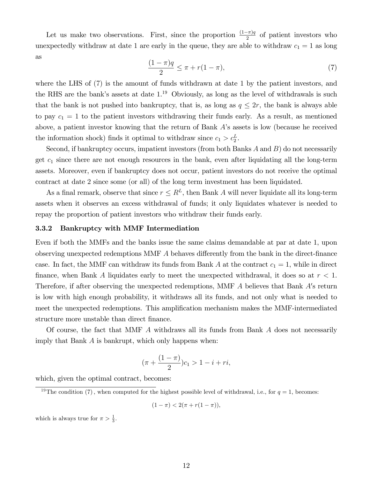Let us make two observations. First, since the proportion  $\frac{(1-\pi)q}{2}$  of patient investors who unexpectedly withdraw at date 1 are early in the queue, they are able to withdraw  $c_1 = 1$  as long as

$$
\frac{(1-\pi)q}{2} \le \pi + r(1-\pi),
$$
\n(7)

where the LHS of (7) is the amount of funds withdrawn at date 1 by the patient investors, and the RHS are the bank's assets at date  $1<sup>19</sup>$  Obviously, as long as the level of withdrawals is such that the bank is not pushed into bankruptcy, that is, as long as  $q \leq 2r$ , the bank is always able to pay  $c_1 = 1$  to the patient investors withdrawing their funds early. As a result, as mentioned above, a patient investor knowing that the return of Bank Aís assets is low (because he received the information shock) finds it optimal to withdraw since  $c_1 > c_2^L$ .

Second, if bankruptcy occurs, impatient investors (from both Banks A and B) do not necessarily get  $c_1$  since there are not enough resources in the bank, even after liquidating all the long-term assets. Moreover, even if bankruptcy does not occur, patient investors do not receive the optimal contract at date 2 since some (or all) of the long term investment has been liquidated.

As a final remark, observe that since  $r \leq R^L$ , then Bank A will never liquidate all its long-term assets when it observes an excess withdrawal of funds; it only liquidates whatever is needed to repay the proportion of patient investors who withdraw their funds early.

#### 3.3.2 Bankruptcy with MMF Intermediation

Even if both the MMFs and the banks issue the same claims demandable at par at date 1, upon observing unexpected redemptions MMF  $\tilde{A}$  behaves differently from the bank in the direct-finance case. In fact, the MMF can withdraw its funds from Bank A at the contract  $c_1 = 1$ , while in direct finance, when Bank A liquidates early to meet the unexpected withdrawal, it does so at  $r < 1$ . Therefore, if after observing the unexpected redemptions, MMF  $A$  believes that Bank  $A$ 's return is low with high enough probability, it withdraws all its funds, and not only what is needed to meet the unexpected redemptions. This amplification mechanism makes the MMF-intermediated structure more unstable than direct finance.

Of course, the fact that MMF A withdraws all its funds from Bank A does not necessarily imply that Bank A is bankrupt, which only happens when:

$$
(\pi + \frac{(1 - \pi)}{2})c_1 > 1 - i + ri,
$$

which, given the optimal contract, becomes:

$$
(1 - \pi) < 2(\pi + r(1 - \pi)),
$$

which is always true for  $\pi > \frac{1}{3}$ .

<sup>&</sup>lt;sup>19</sup>The condition (7), when computed for the highest possible level of withdrawal, i.e., for  $q = 1$ , becomes: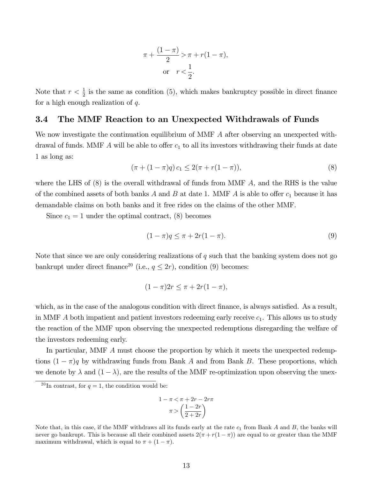$$
\pi + \frac{(1 - \pi)}{2} > \pi + r(1 - \pi),
$$
\nor

\n
$$
r < \frac{1}{2}.
$$

Note that  $r < \frac{1}{2}$  is the same as condition (5), which makes bankruptcy possible in direct finance for a high enough realization of  $q$ .

## 3.4 The MMF Reaction to an Unexpected Withdrawals of Funds

We now investigate the continuation equilibrium of MMF A after observing an unexpected withdrawal of funds. MMF  $\tilde{A}$  will be able to offer  $c_1$  to all its investors withdrawing their funds at date 1 as long as:

$$
(\pi + (1 - \pi)q) c_1 \le 2(\pi + r(1 - \pi)), \tag{8}
$$

where the LHS of  $(8)$  is the overall withdrawal of funds from MMF A, and the RHS is the value of the combined assets of both banks A and B at date 1. MMF A is able to offer  $c_1$  because it has demandable claims on both banks and it free rides on the claims of the other MMF.

Since  $c_1 = 1$  under the optimal contract, (8) becomes

$$
(1 - \pi)q \le \pi + 2r(1 - \pi).
$$
\n(9)

Note that since we are only considering realizations of  $q$  such that the banking system does not go bankrupt under direct finance<sup>20</sup> (i.e.,  $q \leq 2r$ ), condition (9) becomes:

$$
(1-\pi)2r \leq \pi + 2r(1-\pi),
$$

which, as in the case of the analogous condition with direct finance, is always satisfied. As a result, in MMF  $\tilde{A}$  both impatient and patient investors redeeming early receive  $c_1$ . This allows us to study the reaction of the MMF upon observing the unexpected redemptions disregarding the welfare of the investors redeeming early.

In particular, MMF A must choose the proportion by which it meets the unexpected redemptions  $(1 - \pi)q$  by withdrawing funds from Bank A and from Bank B. These proportions, which we denote by  $\lambda$  and  $(1 - \lambda)$ , are the results of the MMF re-optimization upon observing the unex-

$$
1 - \pi < \pi + 2r - 2r\pi
$$
\n
$$
\pi > \left(\frac{1 - 2r}{2 + 2r}\right)
$$

<sup>&</sup>lt;sup>20</sup>In contrast, for  $q = 1$ , the condition would be:

Note that, in this case, if the MMF withdraws all its funds early at the rate  $c_1$  from Bank A and B, the banks will never go bankrupt. This is because all their combined assets  $2(\pi + r(1 - \pi))$  are equal to or greater than the MMF maximum withdrawal, which is equal to  $\pi + (1 - \pi)$ .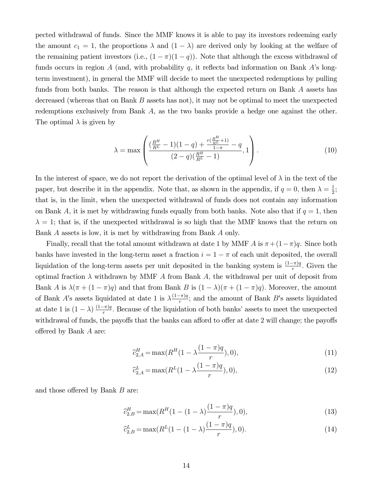pected withdrawal of funds. Since the MMF knows it is able to pay its investors redeeming early the amount  $c_1 = 1$ , the proportions  $\lambda$  and  $(1 - \lambda)$  are derived only by looking at the welfare of the remaining patient investors (i.e.,  $(1 - \pi)(1 - q)$ ). Note that although the excess withdrawal of funds occurs in region A (and, with probability q, it reflects bad information on Bank A's longterm investment), in general the MMF will decide to meet the unexpected redemptions by pulling funds from both banks. The reason is that although the expected return on Bank A assets has decreased (whereas that on Bank  $B$  assets has not), it may not be optimal to meet the unexpected redemptions exclusively from Bank A, as the two banks provide a hedge one against the other. The optimal  $\lambda$  is given by

$$
\lambda = \max \left( \frac{\left(\frac{R^H}{R^L} - 1\right)(1-q) + \frac{r\left(\frac{R^H}{R^L} + 1\right)}{1-\pi} - q}{(2-q)\left(\frac{R^H}{R^L} - 1\right)}, 1 \right). \tag{10}
$$

In the interest of space, we do not report the derivation of the optimal level of  $\lambda$  in the text of the paper, but describe it in the appendix. Note that, as shown in the appendix, if  $q = 0$ , then  $\lambda = \frac{1}{2}$  $\frac{1}{2}$ ; that is, in the limit, when the unexpected withdrawal of funds does not contain any information on Bank A, it is met by withdrawing funds equally from both banks. Note also that if  $q = 1$ , then  $\lambda = 1$ ; that is, if the unexpected withdrawal is so high that the MMF knows that the return on Bank A assets is low, it is met by withdrawing from Bank A only.

Finally, recall that the total amount withdrawn at date 1 by MMF A is  $\pi + (1-\pi)q$ . Since both banks have invested in the long-term asset a fraction  $i = 1 - \pi$  of each unit deposited, the overall liquidation of the long-term assets per unit deposited in the banking system is  $\frac{(1-\pi)q}{r}$ . Given the optimal fraction  $\lambda$  withdrawn by MMF A from Bank A, the withdrawal per unit of deposit from Bank A is  $\lambda(\pi + (1 - \pi)q)$  and that from Bank B is  $(1 - \lambda)(\pi + (1 - \pi)q)$ . Moreover, the amount of Bank A's assets liquidated at date 1 is  $\lambda \frac{(1-\pi)q}{r}$ ; and the amount of Bank B's assets liquidated at date 1 is  $(1 - \lambda) \frac{(1 - \pi)q}{r}$ . Because of the liquidation of both banks' assets to meet the unexpected withdrawal of funds, the payoffs that the banks can afford to offer at date 2 will change; the payoffs offered by Bank  $A$  are:

$$
\hat{c}_{2,A}^H = \max(R^H(1 - \lambda \frac{(1 - \pi)q}{r}), 0),\tag{11}
$$

$$
\hat{c}_{2,A}^L = \max(R^L(1 - \lambda \frac{(1 - \pi)q}{r}), 0),\tag{12}
$$

and those offered by Bank  $B$  are:

$$
\hat{c}_{2,B}^H = \max(R^H(1 - (1 - \lambda)\frac{(1 - \pi)q}{r}), 0),\tag{13}
$$

$$
\widehat{c}_{2,B}^L = \max(R^L(1 - (1 - \lambda)\frac{(1 - \pi)q}{r}), 0). \tag{14}
$$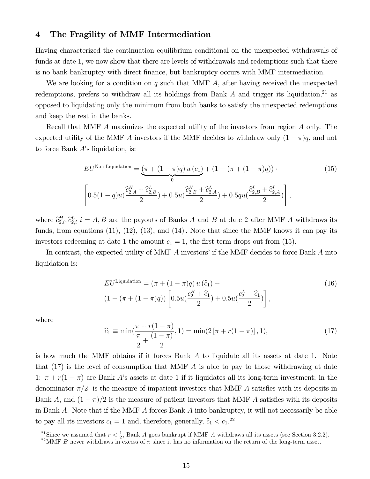## 4 The Fragility of MMF Intermediation

Having characterized the continuation equilibrium conditional on the unexpected withdrawals of funds at date 1, we now show that there are levels of withdrawals and redemptions such that there is no bank bankruptcy with direct Önance, but bankruptcy occurs with MMF intermediation.

We are looking for a condition on  $q$  such that MMF  $A$ , after having received the unexpected redemptions, prefers to withdraw all its holdings from Bank  $A$  and trigger its liquidation,<sup>21</sup> as opposed to liquidating only the minimum from both banks to satisfy the unexpected redemptions and keep the rest in the banks.

Recall that MMF A maximizes the expected utility of the investors from region A only. The expected utility of the MMF A investors if the MMF decides to withdraw only  $(1 - \pi)q$ , and not to force Bank  $A$ 's liquidation, is:

$$
EU^{\text{Non-Liquidation}} = \underbrace{(\pi + (1 - \pi)q) u (c_1)}_{0} + (1 - (\pi + (1 - \pi)q)) \cdot (15)
$$
\n
$$
\left[ 0.5(1 - q) u (\frac{\hat{c}_{2,A}^H + \hat{c}_{2,B}^L}{2}) + 0.5 u (\frac{\hat{c}_{2,B}^H + \hat{c}_{2,A}^L}{2}) + 0.5 q u (\frac{\hat{c}_{2,B}^L + \hat{c}_{2,A}^L}{2}) \right],
$$
\n
$$
(15)
$$

where  $\hat{c}_{2,i}^H$ ,  $\hat{c}_{2,i}^L$  i = A, B are the payouts of Banks A and B at date 2 after MMF A withdraws its funds, from equations  $(11)$ ,  $(12)$ ,  $(13)$ , and  $(14)$ . Note that since the MMF knows it can pay its investors redeeming at date 1 the amount  $c_1 = 1$ , the first term drops out from (15).

In contrast, the expected utility of MMF  $A$  investors' if the MMF decides to force Bank  $A$  into liquidation is:

$$
EU^{\text{Liquidation}} = (\pi + (1 - \pi)q) u(\hat{c}_1) +
$$
  

$$
(1 - (\pi + (1 - \pi)q)) \left[ 0.5u(\frac{c_2^H + \hat{c}_1}{2}) + 0.5u(\frac{c_2^L + \hat{c}_1}{2}) \right],
$$
 (16)

where

$$
\widehat{c}_1 \equiv \min(\frac{\pi + r(1-\pi)}{\frac{\pi}{2} + \frac{(1-\pi)}{2}}, 1) = \min(2\left[\pi + r(1-\pi)\right], 1),\tag{17}
$$

is how much the MMF obtains if it forces Bank A to liquidate all its assets at date 1. Note that  $(17)$  is the level of consumption that MMF A is able to pay to those withdrawing at date 1:  $\pi + r(1 - \pi)$  are Bank A's assets at date 1 if it liquidates all its long-term investment; in the denominator  $\pi/2$  is the measure of impatient investors that MMF A satisfies with its deposits in Bank A, and  $(1 - \pi)/2$  is the measure of patient investors that MMF A satisfies with its deposits in Bank A. Note that if the MMF  $\tilde{A}$  forces Bank  $\tilde{A}$  into bankruptcy, it will not necessarily be able to pay all its investors  $c_1 = 1$  and, therefore, generally,  $\hat{c}_1 < c_1$ <sup>22</sup>

<sup>21</sup>Since we assumed that  $r < \frac{1}{2}$ , Bank A goes bankrupt if MMF A withdraws all its assets (see Section 3.2.2).

<sup>&</sup>lt;sup>22</sup>MMF B never withdraws in excess of  $\pi$  since it has no information on the return of the long-term asset.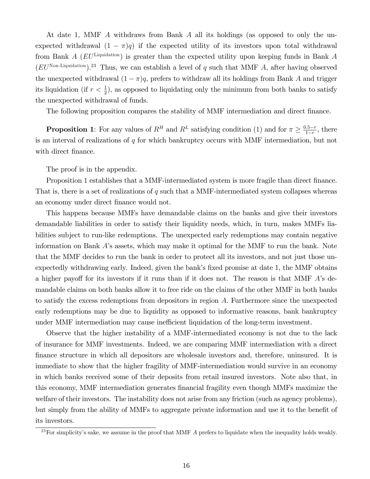At date 1, MMF A withdraws from Bank A all its holdings (as opposed to only the unexpected withdrawal  $(1 - \pi)q$  if the expected utility of its investors upon total withdrawal from Bank  $A$  ( $EU^{\text{Liquidation}}$ ) is greater than the expected utility upon keeping funds in Bank  $A$  $(EU<sup>Non-Liquidation</sup>)<sup>.23</sup>$  Thus, we can establish a level of q such that MMF A, after having observed the unexpected withdrawal  $(1 - \pi)q$ , prefers to withdraw all its holdings from Bank A and trigger its liquidation (if  $r < \frac{1}{2}$ ), as opposed to liquidating only the minimum from both banks to satisfy the unexpected withdrawal of funds.

The following proposition compares the stability of MMF intermediation and direct finance.

**Proposition 1**: For any values of  $R^H$  and  $R^L$  satisfying condition (1) and for  $\pi \geq \frac{0.5-r}{1-r}$  $\frac{0.5-r}{1-r}$ , there is an interval of realizations of  $q$  for which bankruptcy occurs with MMF intermediation, but not with direct finance.

The proof is in the appendix.

Proposition 1 establishes that a MMF-intermediated system is more fragile than direct finance. That is, there is a set of realizations of  $q$  such that a MMF-intermediated system collapses whereas an economy under direct finance would not.

This happens because MMFs have demandable claims on the banks and give their investors demandable liabilities in order to satisfy their liquidity needs, which, in turn, makes MMFs liabilities subject to run-like redemptions. The unexpected early redemptions may contain negative information on Bank A's assets, which may make it optimal for the MMF to run the bank. Note that the MMF decides to run the bank in order to protect all its investors, and not just those unexpectedly withdrawing early. Indeed, given the bank's fixed promise at date 1, the MMF obtains a higher payoff for its investors if it runs than if it does not. The reason is that MMF  $\vec{A}$ 's demandable claims on both banks allow it to free ride on the claims of the other MMF in both banks to satisfy the excess redemptions from depositors in region A. Furthermore since the unexpected early redemptions may be due to liquidity as opposed to informative reasons, bank bankruptcy under MMF intermediation may cause inefficient liquidation of the long-term investment.

Observe that the higher instability of a MMF-intermediated economy is not due to the lack of insurance for MMF investments. Indeed, we are comparing MMF intermediation with a direct Önance structure in which all depositors are wholesale investors and, therefore, uninsured. It is immediate to show that the higher fragility of MMF-intermediation would survive in an economy in which banks received some of their deposits from retail insured investors. Note also that, in this economy, MMF intermediation generates Önancial fragility even though MMFs maximize the welfare of their investors. The instability does not arise from any friction (such as agency problems), but simply from the ability of MMFs to aggregate private information and use it to the benefit of its investors.

 $^{23}$  For simplicity's sake, we assume in the proof that MMF  $A$  prefers to liquidate when the inequality holds weakly.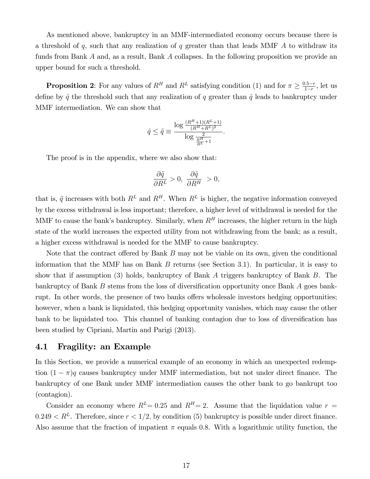As mentioned above, bankruptcy in an MMF-intermediated economy occurs because there is a threshold of  $q$ , such that any realization of  $q$  greater than that leads MMF  $A$  to withdraw its funds from Bank A and, as a result, Bank A collapses. In the following proposition we provide an upper bound for such a threshold.

**Proposition 2**: For any values of  $R^H$  and  $R^L$  satisfying condition (1) and for  $\pi \geq \frac{0.5-r}{1-r}$  $\frac{1.5-r}{1-r}$ , let us define by  $\hat{q}$  the threshold such that any realization of q greater than  $\hat{q}$  leads to bankruptcy under MMF intermediation. We can show that

$$
\hat{q} \le \tilde{q} \equiv \frac{\log \frac{(R^H + 1)(R^L + 1)}{(R^H + R^L)^2}}{\log \frac{2}{R^H + 1}}.
$$

The proof is in the appendix, where we also show that:

$$
\frac{\partial \tilde{q}}{\partial R^L} > 0, \ \frac{\partial \tilde{q}}{\partial R^H} > 0,
$$

that is,  $\tilde{q}$  increases with both  $R^L$  and  $R^H$ . When  $R^L$  is higher, the negative information conveyed by the excess withdrawal is less important; therefore, a higher level of withdrawal is needed for the MMF to cause the bank's bankruptcy. Similarly, when  $R<sup>H</sup>$  increases, the higher return in the high state of the world increases the expected utility from not withdrawing from the bank; as a result, a higher excess withdrawal is needed for the MMF to cause bankruptcy.

Note that the contract offered by Bank  $B$  may not be viable on its own, given the conditional information that the MMF has on Bank  $B$  returns (see Section 3.1). In particular, it is easy to show that if assumption (3) holds, bankruptcy of Bank A triggers bankruptcy of Bank B. The bankruptcy of Bank  $B$  stems from the loss of diversification opportunity once Bank  $A$  goes bankrupt. In other words, the presence of two banks offers wholesale investors hedging opportunities; however, when a bank is liquidated, this hedging opportunity vanishes, which may cause the other bank to be liquidated too. This channel of banking contagion due to loss of diversification has been studied by Cipriani, Martin and Parigi (2013).

#### 4.1 Fragility: an Example

In this Section, we provide a numerical example of an economy in which an unexpected redemption  $(1 - \pi)q$  causes bankruptcy under MMF intermediation, but not under direct finance. The bankruptcy of one Bank under MMF intermediation causes the other bank to go bankrupt too (contagion).

Consider an economy where  $R^L= 0.25$  and  $R^H= 2$ . Assume that the liquidation value  $r =$  $0.249 < R^L$ . Therefore, since  $r < 1/2$ , by condition (5) bankruptcy is possible under direct finance. Also assume that the fraction of impatient  $\pi$  equals 0.8. With a logarithmic utility function, the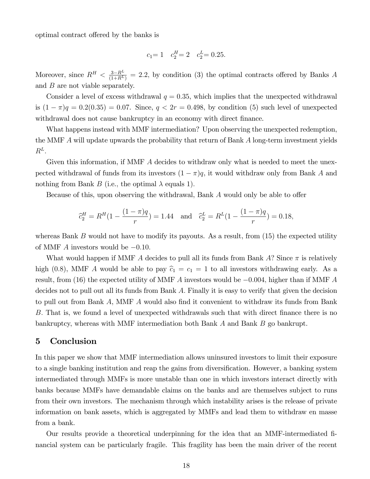optimal contract offered by the banks is

$$
c_1 = 1 \quad c_2^H = 2 \quad c_2^L = 0.25.
$$

Moreover, since  $R^H < \frac{3-R^L}{(1+R^L)} = 2.2$ , by condition (3) the optimal contracts offered by Banks A and B are not viable separately.

Consider a level of excess withdrawal  $q = 0.35$ , which implies that the unexpected withdrawal is  $(1 - \pi)q = 0.2(0.35) = 0.07$ . Since,  $q < 2r = 0.498$ , by condition (5) such level of unexpected withdrawal does not cause bankruptcy in an economy with direct finance.

What happens instead with MMF intermediation? Upon observing the unexpected redemption, the MMF A will update upwards the probability that return of Bank A long-term investment yields  $R^L$ .

Given this information, if MMF A decides to withdraw only what is needed to meet the unexpected withdrawal of funds from its investors  $(1 - \pi)q$ , it would withdraw only from Bank A and nothing from Bank B (i.e., the optimal  $\lambda$  equals 1).

Because of this, upon observing the withdrawal, Bank  $A$  would only be able to offer

$$
\hat{c}_2^H = R^H (1 - \frac{(1 - \pi)q}{r}) = 1.44
$$
 and  $\hat{c}_2^L = R^L (1 - \frac{(1 - \pi)q}{r}) = 0.18$ ,

whereas Bank  $B$  would not have to modify its payouts. As a result, from  $(15)$  the expected utility of MMF A investors would be  $-0.10$ .

What would happen if MMF A decides to pull all its funds from Bank A? Since  $\pi$  is relatively high (0.8), MMF A would be able to pay  $\hat{c}_1 = c_1 = 1$  to all investors withdrawing early. As a result, from (16) the expected utility of MMF A investors would be  $-0.004$ , higher than if MMF A decides not to pull out all its funds from Bank A: Finally it is easy to verify that given the decision to pull out from Bank  $\ddot{A}$ , MMF  $\ddot{A}$  would also find it convenient to withdraw its funds from Bank B. That is, we found a level of unexpected withdrawals such that with direct finance there is no bankruptcy, whereas with MMF intermediation both Bank A and Bank B go bankrupt.

#### 5 Conclusion

In this paper we show that MMF intermediation allows uninsured investors to limit their exposure to a single banking institution and reap the gains from diversification. However, a banking system intermediated through MMFs is more unstable than one in which investors interact directly with banks because MMFs have demandable claims on the banks and are themselves subject to runs from their own investors. The mechanism through which instability arises is the release of private information on bank assets, which is aggregated by MMFs and lead them to withdraw en masse from a bank.

Our results provide a theoretical underpinning for the idea that an MMF-intermediated Önancial system can be particularly fragile. This fragility has been the main driver of the recent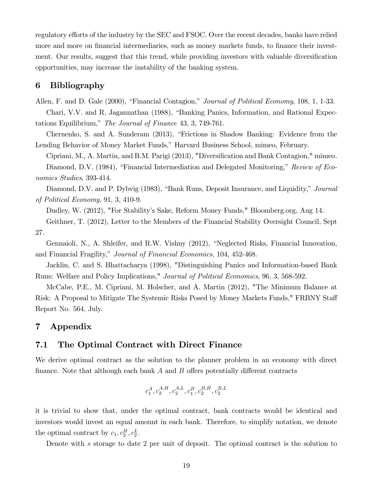regulatory efforts of the industry by the SEC and FSOC. Over the recent decades, banks have relied more and more on financial intermediaries, such as money markets funds, to finance their investment. Our results, suggest that this trend, while providing investors with valuable diversification opportunities, may increase the instability of the banking system.

## 6 Bibliography

Allen, F. and D. Gale (2000), "Financial Contagion," *Journal of Political Economy*, 108, 1, 1-33.

Chari, V.V. and R. Jagannathan (1988), "Banking Panics, Information, and Rational Expectations Equilibrium," The Journal of Finance 43, 3, 749-761.

Chernenko, S. and A. Sunderam  $(2013)$ , "Frictions in Shadow Banking: Evidence from the Lending Behavior of Money Market Funds," Harvard Business School, mimeo, February.

Cipriani, M., A. Martin, and B.M. Parigi (2013), "Diversification and Bank Contagion," mimeo. Diamond, D.V. (1984), "Financial Intermediation and Delegated Monitoring," Review of Economics Studies, 393-414.

Diamond, D.V. and P. Dybvig (1983), "Bank Runs, Deposit Insurance, and Liquidity," Journal of Political Economy, 91, 3, 410-9.

Dudley, W. (2012), "For Stabilityís Sake, Reform Money Funds," Bloomberg.org, Aug 14.

Geithner, T. (2012), Letter to the Members of the Financial Stability Oversight Council, Sept 27.

Gennaioli, N., A. Shleifer, and R.W. Vishny  $(2012)$ , "Neglected Risks, Financial Innovation, and Financial Fragility," Journal of Financial Economics, 104, 452-468.

Jacklin, C. and S. Bhattacharya (1998), "Distinguishing Panics and Information-based Bank Runs: Welfare and Policy Implications," Journal of Political Economics, 96, 3, 568-592.

McCabe, P.E., M. Cipriani, M. Holscher, and A. Martin (2012), "The Minimum Balance at Risk: A Proposal to Mitigate The Systemic Risks Posed by Money Markets Funds," FRBNY Staff Report No. 564, July.

# 7 Appendix

## 7.1 The Optimal Contract with Direct Finance

We derive optimal contract as the solution to the planner problem in an economy with direct finance. Note that although each bank  $A$  and  $B$  offers potentially different contracts

$$
c_1^A, c_2^{A,H}, c_2^{A,L}, c_1^B, c_2^{B,H}, c_2^{B,L}
$$

it is trivial to show that, under the optimal contract, bank contracts would be identical and investors would invest an equal amount in each bank. Therefore, to simplify notation, we denote the optimal contract by  $c_1, c_2^H, c_2^L$ .

Denote with s storage to date 2 per unit of deposit. The optimal contract is the solution to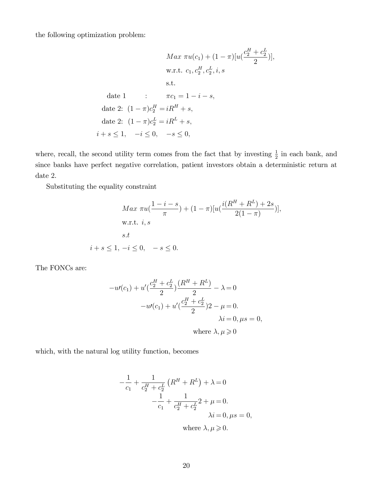the following optimization problem:

$$
Max \ \pi u(c_1) + (1 - \pi)[u(\frac{c_2^H + c_2^L}{2})],
$$
  
 w.r.t.  $c_1, c_2^H, c_2^L, i, s$   
 s.t.   
 date 1 :  $\pi c_1 = 1 - i - s$ ,  
 date 2:  $(1 - \pi)c_2^H = iR^H + s$ ,  
 date 2:  $(1 - \pi)c_2^L = iR^L + s$ ,  
  $i + s \le 1$ ,  $-i \le 0$ ,  $-s \le 0$ ,

where, recall, the second utility term comes from the fact that by investing  $\frac{1}{2}$  in each bank, and since banks have perfect negative correlation, patient investors obtain a deterministic return at date 2.

Substituting the equality constraint

$$
Max \pi u(\frac{1-i-s}{\pi}) + (1-\pi)[u(\frac{i(R^H + R^L) + 2s}{2(1-\pi)})],
$$
  
w.r.t. *i*, *s*  
s.t  
 $i+s \le 1, -i \le 0, -s \le 0.$ 

The FONCs are:

$$
-u'(c_1) + u'\left(\frac{c_2^H + c_2^L}{2}\right)\frac{(R^H + R^L)}{2} - \lambda = 0
$$
  

$$
-u'(c_1) + u'\left(\frac{c_2^H + c_2^L}{2}\right)2 - \mu = 0.
$$
  

$$
\lambda i = 0, \mu s = 0,
$$
  
where  $\lambda, \mu \ge 0$ 

which, with the natural log utility function, becomes

$$
-\frac{1}{c_1} + \frac{1}{c_2^H + c_2^L} (R^H + R^L) + \lambda = 0
$$
  

$$
-\frac{1}{c_1} + \frac{1}{c_2^H + c_2^L} 2 + \mu = 0.
$$
  

$$
\lambda i = 0, \mu s = 0,
$$
  
where  $\lambda, \mu \ge 0$ .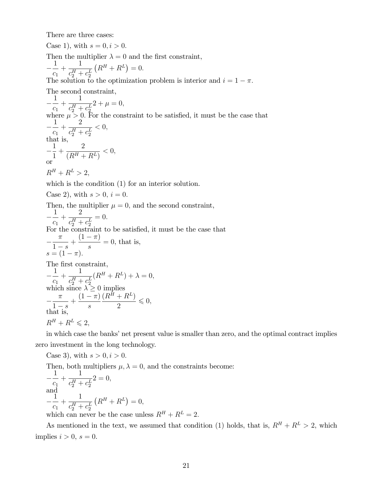There are three cases:

Case 1), with  $s = 0, i > 0$ . Then the multiplier  $\lambda = 0$  and the first constraint,  $\equiv$ 1  $\overline{c}_1$  $+$ 1  $c_2^H + c_2^L$  $(R^{H} + R^{L}) = 0.$ The solution to the optimization problem is interior and  $i = 1 - \pi$ . The second constraint,  $\equiv$ 1  $\overline{c_1}$  $+$ 1  $c_2^H+c_2^L$  $2 + \mu = 0,$ where  $\mu > 0$ . For the constraint to be satisfied, it must be the case that  $-\frac{c_1}{c_1}$ 1 2  $+$  $c_2^H + c_2^L$  $< 0$ , that is, Γ 1 1  $+$ 2  $\frac{2}{(R^H + R^L)} < 0,$ or  $R^H + R^L > 2$ . which is the condition  $(1)$  for an interior solution. Case 2), with  $s > 0$ ,  $i = 0$ . Then, the multiplier  $\mu = 0$ , and the second constraint,  $\equiv$ 1  $\overline{c}_1$  $+$ 2  $c_2^H + c_2^L$  $= 0.$ For the constraint to be satisfied, it must be the case that  $\equiv$  $\pi$  $\frac{1}{1} - s$  $+\frac{(1-\pi)}{}$ s  $= 0$ , that is,  $s = (1 - \pi).$ The first constraint,  $\equiv$ 1  $\overline{c}_1$  $+$ 1  $c_2^H + c_2^L$  $(R^H + R^L) + \lambda = 0,$ which since  $\lambda \geq 0$  implies  $\equiv$  $\pi$  $\frac{1-s}{1}$  $+\frac{(1-\pi)}{}$ s  $(R^H + R^L)$  $\frac{1}{2}$   $\leq$  0, that is,  $R^H + R^L \leqslant 2$ ,

in which case the banks' net present value is smaller than zero, and the optimal contract implies zero investment in the long technology.

Case 3), with  $s > 0, i > 0$ .

Then, both multipliers  $\mu$ ,  $\lambda = 0$ , and the constraints become:

$$
-\frac{1}{c_1} + \frac{1}{c_2^H + c_2^L} 2 = 0,
$$
  
and  

$$
-\frac{1}{c_1} + \frac{1}{c_2^H + c_2^L} (R^H + R^L) = 0,
$$

 $c_1$   $c_2^H + c_2^L$  (10  $\rightarrow$  100),<br>which can never be the case unless  $R^H + R^L = 2$ .

As mentioned in the text, we assumed that condition (1) holds, that is,  $R^H + R^L > 2$ , which implies  $i > 0$ ,  $s = 0$ .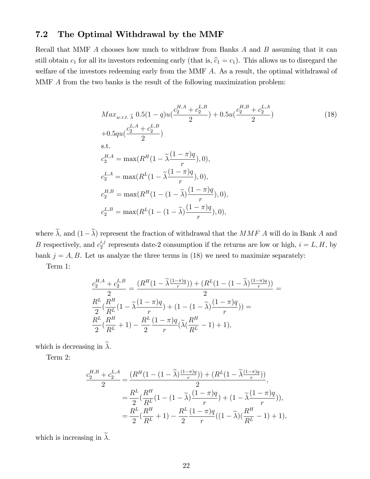# 7.2 The Optimal Withdrawal by the MMF

Recall that MMF A chooses how much to withdraw from Banks A and B assuming that it can still obtain  $c_1$  for all its investors redeeming early (that is,  $\hat{c}_1 = c_1$ ). This allows us to disregard the welfare of the investors redeeming early from the MMF A. As a result, the optimal withdrawal of MMF A from the two banks is the result of the following maximization problem:

$$
Max_{w.r.t.} \tilde{\lambda} 0.5(1-q)u(\frac{c_2^{H,A} + c_2^{L,B}}{2}) + 0.5u(\frac{c_2^{H,B} + c_2^{L,A}}{2})
$$
  
+0.5qu( $\frac{c_2^{L,A} + c_2^{L,B}}{2}$ )  
s.t.  

$$
c_2^{H,A} = \max(R^H(1 - \tilde{\lambda}\frac{(1-\pi)q}{r}), 0),
$$

$$
c_2^{L,A} = \max(R^L(1 - \tilde{\lambda}\frac{(1-\pi)q}{r}), 0),
$$

$$
c_2^{H,B} = \max(R^H(1 - (1 - \tilde{\lambda})\frac{(1-\pi)q}{r}), 0),
$$

$$
c_2^{L,B} = \max(R^L(1 - (1 - \tilde{\lambda})\frac{(1-\pi)q}{r}), 0),
$$

where  $\tilde{\lambda}$ , and  $(1-\tilde{\lambda})$  represent the fraction of withdrawal that the  $MMF$  A will do in Bank A and B respectively, and  $c_2^{i,j}$  $n_2^{i,j}$  represents date-2 consumption if the returns are low or high,  $i = L, H$ , by bank  $j = A, B$ . Let us analyze the three terms in (18) we need to maximize separately:

Term 1:

$$
\frac{c_2^{H,A} + c_2^{L,B}}{2} = \frac{(R^H(1 - \tilde{\lambda}\frac{(1-\pi)q}{r})) + (R^L(1 - (1 - \tilde{\lambda})\frac{(1-\pi)q}{r}))}{2} = \frac{R^L}{2}(\frac{R^H}{R^L}(1 - \tilde{\lambda}\frac{(1-\pi)q}{r}) + (1 - (1 - \tilde{\lambda})\frac{(1-\pi)q}{r})) = \frac{R^L}{2}(\frac{R^H}{R^L} + 1) - \frac{R^L}{2}(\frac{(1-\pi)q}{r}(\tilde{\lambda}(\frac{R^H}{R^L} - 1) + 1)),
$$

which is decreasing in  $\widetilde{\lambda}$ .

Term 2:

$$
\frac{c_2^{H,B} + c_2^{L,A}}{2} = \frac{(R^H(1 - (1 - \tilde{\lambda})\frac{(1-\pi)q}{r})) + (R^L(1 - \tilde{\lambda}\frac{(1-\pi)q}{r}))}{2},
$$
  

$$
= \frac{R^L}{2}(\frac{R^H}{R^L}(1 - (1 - \tilde{\lambda})\frac{(1-\pi)q}{r}) + (1 - \tilde{\lambda}\frac{(1-\pi)q}{r})),
$$
  

$$
= \frac{R^L}{2}(\frac{R^H}{R^L} + 1) - \frac{R^L}{2}\frac{(1-\pi)q}{r}((1 - \tilde{\lambda})(\frac{R^H}{R^L} - 1) + 1),
$$

which is increasing in  $\tilde{\lambda}$ .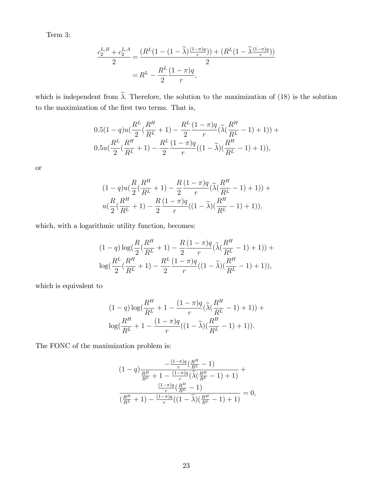Term 3:

$$
\frac{c_2^{L,B} + c_2^{L,A}}{2} = \frac{(R^L(1 - (1 - \tilde{\lambda})\frac{(1 - \pi)q}{r})) + (R^L(1 - \tilde{\lambda}\frac{(1 - \pi)q}{r}))}{2}
$$

$$
= R^L - \frac{R^L}{2} \frac{(1 - \pi)q}{r},
$$

which is independent from  $\tilde{\lambda}$ . Therefore, the solution to the maximization of (18) is the solution to the maximization of the first two terms. That is,

$$
0.5(1-q)u\left(\frac{R^L}{2}\left(\frac{R^H}{R^L}+1\right)-\frac{R^L}{2}\frac{(1-\pi)q}{r}\left(\tilde{\lambda}\left(\frac{R^H}{R^L}-1\right)+1\right)\right)+0.5u\left(\frac{R^L}{2}\left(\frac{R^H}{R^L}+1\right)-\frac{R^L}{2}\frac{(1-\pi)q}{r}\left((1-\tilde{\lambda})\left(\frac{R^H}{R^L}-1\right)+1\right)\right),
$$

or

$$
(1-q)u\left(\frac{R}{2}\left(\frac{R^H}{R^L}+1\right)-\frac{R}{2}\frac{(1-\pi)q}{r}\left(\tilde{\lambda}\left(\frac{R^H}{R^L}-1\right)+1\right)\right)+u\left(\frac{R}{2}\left(\frac{R^H}{R^L}+1\right)-\frac{R}{2}\frac{(1-\pi)q}{r}\left((1-\tilde{\lambda})\left(\frac{R^H}{R^L}-1\right)+1\right)\right),
$$

which, with a logarithmic utility function, becomes:

$$
(1-q)\log(\frac{R}{2}(\frac{R^H}{R^L}+1)-\frac{R}{2}\frac{(1-\pi)q}{r}(\tilde{\lambda}(\frac{R^H}{R^L}-1)+1))+\log(\frac{R^L}{2}(\frac{R^H}{R^L}+1)-\frac{R^L}{2}\frac{(1-\pi)q}{r}((1-\tilde{\lambda})(\frac{R^H}{R^L}-1)+1)),
$$

which is equivalent to

$$
(1-q)\log(\frac{R^H}{R^L} + 1 - \frac{(1-\pi)q}{r}(\tilde{\lambda}(\frac{R^H}{R^L} - 1) + 1)) + \log(\frac{R^H}{R^L} + 1 - \frac{(1-\pi)q}{r}((1-\tilde{\lambda})(\frac{R^H}{R^L} - 1) + 1)).
$$

The FONC of the maximization problem is:

$$
(1-q)\frac{-\frac{(1-\pi)q}{r}\left(\frac{R^H}{R^L}-1\right)}{\frac{R^H}{R^L}+1-\frac{(1-\pi)q}{r}\left(\tilde{\lambda}\left(\frac{R^H}{R^L}-1\right)+1\right)}+\frac{\frac{(1-\pi)q}{r}\left(\frac{R^H}{R^L}-1\right)}{\left(\frac{R^H}{R^L}+1\right)-\frac{(1-\pi)q}{r}\left((1-\tilde{\lambda})\left(\frac{R^H}{R^L}-1\right)+1\right)}=0,
$$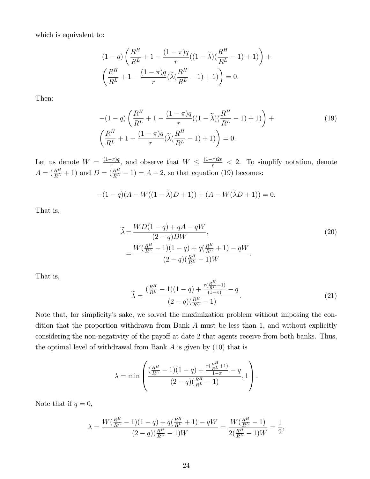which is equivalent to:

$$
(1-q)\left(\frac{R^H}{R^L} + 1 - \frac{(1-\pi)q}{r}((1-\tilde{\lambda})(\frac{R^H}{R^L} - 1) + 1)\right) +
$$

$$
\left(\frac{R^H}{R^L} + 1 - \frac{(1-\pi)q}{r}(\tilde{\lambda}(\frac{R^H}{R^L} - 1) + 1)\right) = 0.
$$

Then:

$$
-(1-q)\left(\frac{R^H}{R^L} + 1 - \frac{(1-\pi)q}{r}((1-\tilde{\lambda})(\frac{R^H}{R^L} - 1) + 1)\right) +
$$
  

$$
\left(\frac{R^H}{R^L} + 1 - \frac{(1-\pi)q}{r}(\tilde{\lambda}(\frac{R^H}{R^L} - 1) + 1)\right) = 0.
$$
 (19)

Let us denote  $W = \frac{(1-\pi)q}{r}$ , and observe that  $W \leq \frac{(1-\pi)2r}{r} < 2$ . To simplify notation, denote  $A = \left(\frac{R^H}{R^L} + 1\right)$  and  $D = \left(\frac{R^H}{R^L} - 1\right) = A - 2$ , so that equation (19) becomes:

$$
-(1-q)(A-W((1-\tilde{\lambda})D+1)) + (A-W(\tilde{\lambda}D+1)) = 0.
$$

That is,

$$
\widetilde{\lambda} = \frac{WD(1-q) + qA - qW}{(2-q)DW},
$$
\n
$$
= \frac{W(\frac{R^H}{R^L} - 1)(1-q) + q(\frac{R^H}{R^L} + 1) - qW}{(2-q)(\frac{R^H}{R^L} - 1)W}.
$$
\n(20)

That is,

$$
\widetilde{\lambda} = \frac{\left(\frac{R^H}{R^L} - 1\right)(1 - q) + \frac{r\left(\frac{R^H}{R^L} + 1\right)}{(1 - \pi)} - q}{(2 - q)\left(\frac{R^H}{R^L} - 1\right)}.
$$
\n(21)

Note that, for simplicityís sake, we solved the maximization problem without imposing the condition that the proportion withdrawn from Bank A must be less than 1, and without explicitly considering the non-negativity of the payoff at date 2 that agents receive from both banks. Thus, the optimal level of withdrawal from Bank  $A$  is given by  $(10)$  that is

$$
\lambda = \min \left( \frac{\left(\frac{R^H}{R^L} - 1\right)(1 - q) + \frac{r\left(\frac{R^H}{R^L} + 1\right)}{1 - \pi} - q}{(2 - q)\left(\frac{R^H}{R^L} - 1\right)}, 1 \right).
$$

Note that if  $q = 0$ ,

$$
\lambda = \frac{W(\frac{R^H}{R^L} - 1)(1 - q) + q(\frac{R^H}{R^L} + 1) - qW}{(2 - q)(\frac{R^H}{R^L} - 1)W} = \frac{W(\frac{R^H}{R^L} - 1)}{2(\frac{R^H}{R^L} - 1)W} = \frac{1}{2},
$$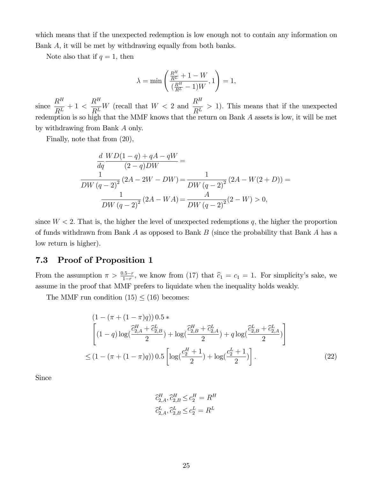which means that if the unexpected redemption is low enough not to contain any information on Bank A, it will be met by withdrawing equally from both banks.

Note also that if  $q = 1$ , then

$$
\lambda = \min\left(\frac{\frac{R^H}{R^L}+1-W}{(\frac{R^H}{R^L}-1)W},1\right) = 1,
$$

since  $R^H$  $\frac{1}{R}$  + 1 <  $\frac{R^H}{R^L}$  W (recall that  $W < 2$  and  $\frac{R^H}{R^L} > 1$ ). This means that if the unexpected redemption is so high that the MMF knows that the return on Bank  $A$  assets is low, it will be met by withdrawing from Bank A only.

Finally, note that from (20),

$$
\frac{d}{dq}\frac{WD(1-q) + qA - qW}{(2-q)DW} =
$$
\n
$$
\frac{1}{DW (q-2)^2} (2A - 2W - DW) = \frac{1}{DW (q-2)^2} (2A - W(2+D)) =
$$
\n
$$
\frac{1}{DW (q-2)^2} (2A - WA) = \frac{A}{DW (q-2)^2} (2 - W) > 0,
$$

since  $W < 2$ . That is, the higher the level of unexpected redemptions q, the higher the proportion of funds withdrawn from Bank A as opposed to Bank B (since the probability that Bank A has a low return is higher).

# 7.3 Proof of Proposition 1

From the assumption  $\pi > \frac{0.5-r}{1-r}$ , we know from (17) that  $\hat{c}_1 = c_1 = 1$ . For simplicity's sake, we assume in the proof that MMF prefers to liquidate when the inequality holds weakly.

The MMF run condition  $(15) \le (16)$  becomes:

$$
(1 - (\pi + (1 - \pi)q)) 0.5 *
$$
  
\n
$$
\left[ (1 - q) \log(\frac{\tilde{c}_{2,A}^H + \tilde{c}_{2,B}^L}{2}) + \log(\frac{\tilde{c}_{2,B}^H + \tilde{c}_{2,A}^L}{2}) + q \log(\frac{\tilde{c}_{2,B}^L + \tilde{c}_{2,A}^L}{2}) \right]
$$
  
\n
$$
\leq (1 - (\pi + (1 - \pi)q)) 0.5 \left[ \log(\frac{c_2^H + 1}{2}) + \log(\frac{c_2^L + 1}{2}) \right].
$$
\n(22)

Since

$$
\begin{aligned}\n\hat{c}_{2,A}^H, \hat{c}_{2,B}^H \le c_2^H &= R^H \\
\hat{c}_{2,A}^L, \hat{c}_{2,B}^L \le c_2^L &= R^L\n\end{aligned}
$$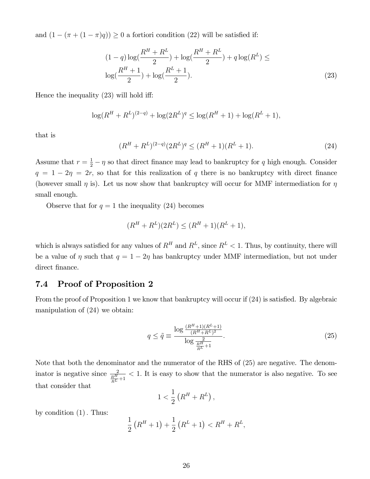and  $(1 - (\pi + (1 - \pi)q)) \geq 0$  a fortiori condition (22) will be satisfied if:

$$
(1-q)\log(\frac{R^H + R^L}{2}) + \log(\frac{R^H + R^L}{2}) + q\log(R^L) \le
$$
  

$$
\log(\frac{R^H + 1}{2}) + \log(\frac{R^L + 1}{2}).
$$
 (23)

Hence the inequality  $(23)$  will hold iff:

$$
\log(R^H + R^L)^{(2-q)} + \log(2R^L)^q \le \log(R^H + 1) + \log(R^L + 1),
$$

that is

$$
(R^H + R^L)^{(2-q)} (2R^L)^q \le (R^H + 1)(R^L + 1). \tag{24}
$$

Assume that  $r = \frac{1}{2} - \eta$  so that direct finance may lead to bankruptcy for q high enough. Consider  $q = 1 - 2\eta = 2r$ , so that for this realization of q there is no bankruptcy with direct finance (however small  $\eta$  is). Let us now show that bankruptcy will occur for MMF intermediation for  $\eta$ small enough.

Observe that for  $q = 1$  the inequality (24) becomes

$$
(R^H + R^L)(2R^L) \le (R^H + 1)(R^L + 1),
$$

which is always satisfied for any values of  $R^H$  and  $R^L$ , since  $R^L < 1$ . Thus, by continuity, there will be a value of  $\eta$  such that  $q = 1 - 2\eta$  has bankruptcy under MMF intermediation, but not under direct finance.

# 7.4 Proof of Proposition 2

From the proof of Proposition 1 we know that bankruptcy will occur if  $(24)$  is satisfied. By algebraic manipulation of (24) we obtain:

$$
q \le \tilde{q} \equiv \frac{\log \frac{(R^H + 1)(R^L + 1)}{(R^H + R^L)^2}}{\log \frac{2}{R^H + 1}}.
$$
\n(25)

Note that both the denominator and the numerator of the RHS of (25) are negative. The denominator is negative since  $\frac{2}{\frac{R^H}{R^L}+1}$  $<$  1. It is easy to show that the numerator is also negative. To see that consider that

$$
1 < \frac{1}{2} \left( R^H + R^L \right),
$$

by condition  $(1)$ . Thus:

$$
\frac{1}{2}(R^H + 1) + \frac{1}{2}(R^L + 1) < R^H + R^L,
$$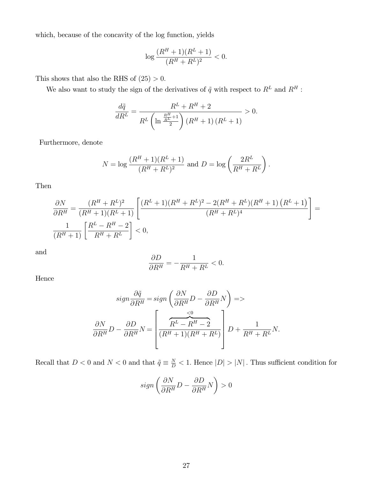which, because of the concavity of the log function, yields

$$
\log \frac{(R^H + 1)(R^L + 1)}{(R^H + R^L)^2} < 0.
$$

This shows that also the RHS of  $(25) > 0$ .

We also want to study the sign of the derivatives of  $\tilde{q}$  with respect to  $R^L$  and  $R^H$  :

$$
\frac{d\tilde{q}}{dR^L} = \frac{R^L + R^H + 2}{R^L \left(\ln \frac{\frac{R^H}{R^L} + 1}{2}\right) \left(R^H + 1\right) \left(R^L + 1\right)} > 0.
$$

Furthermore, denote

$$
N = \log \frac{(R^H + 1)(R^L + 1)}{(R^H + R^L)^2} \text{ and } D = \log \left(\frac{2R^L}{R^H + R^L}\right).
$$

Then

$$
\frac{\partial N}{\partial R^H} = \frac{(R^H + R^L)^2}{(R^H + 1)(R^L + 1)} \left[ \frac{(R^L + 1)(R^H + R^L)^2 - 2(R^H + R^L)(R^H + 1)(R^L + 1)}{(R^H + R^L)^4} \right] = \frac{1}{(R^H + 1)} \left[ \frac{R^L - R^H - 2}{R^H + R^L} \right] < 0,
$$

and

$$
\frac{\partial D}{\partial R^H} = -\frac{1}{R^H + R^L} < 0.
$$

Hence

$$
sign \frac{\partial \tilde{q}}{\partial R^H} = sign \left( \frac{\partial N}{\partial R^H} D - \frac{\partial D}{\partial R^H} N \right) =>
$$

$$
\frac{\partial N}{\partial R^H} D - \frac{\partial D}{\partial R^H} N = \left[ \frac{\overbrace{(R^L - R^H - 2)}^{<0}}{(R^H + 1)(R^H + R^L)} \right] D + \frac{1}{R^H + R^L} N.
$$

Recall that  $D < 0$  and  $N < 0$  and that  $\tilde{q} \equiv \frac{N}{D} < 1$ . Hence  $|D| > |N|$ . Thus sufficient condition for

$$
sign\left(\frac{\partial N}{\partial R^H}D-\frac{\partial D}{\partial R^H}N\right)>0
$$